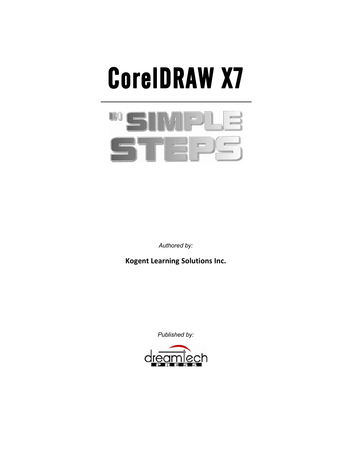# **CorelDRAW X7**



*Authored by:* 

**Kogent Learning Solutions Inc.** 

*Published by:* 

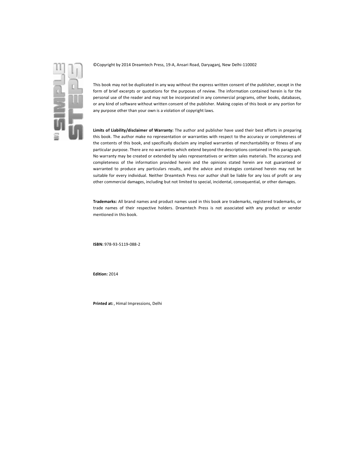

©Copyright by 2014 Dreamtech Press, 19-A, Ansari Road, Daryaganj, New Delhi-110002

This book may not be duplicated in any way without the express written consent of the publisher, except in the form of brief excerpts or quotations for the purposes of review. The information contained herein is for the personal use of the reader and may not be incorporated in any commercial programs, other books, databases, or any kind of software without written consent of the publisher. Making copies of this book or any portion for any purpose other than your own is a violation of copyright laws.

**Limits of Liability/disclaimer of Warranty:** The author and publisher have used their best efforts in preparing this book. The author make no representation or warranties with respect to the accuracy or completeness of the contents of this book, and specifically disclaim any implied warranties of merchantability or fitness of any particular purpose. There are no warranties which extend beyond the descriptions contained in this paragraph. No warranty may be created or extended by sales representatives or written sales materials. The accuracy and completeness of the information provided herein and the opinions stated herein are not guaranteed or warranted to produce any particulars results, and the advice and strategies contained herein may not be suitable for every individual. Neither Dreamtech Press nor author shall be liable for any loss of profit or any other commercial damages, including but not limited to special, incidental, consequential, or other damages.

**Trademarks:** All brand names and product names used in this book are trademarks, registered trademarks, or trade names of their respective holders. Dreamtech Press is not associated with any product or vendor mentioned in this book.

**ISBN:** 978-93-5119-088-2

**Edition:** 2014

**Printed at:** , Himal Impressions, Delhi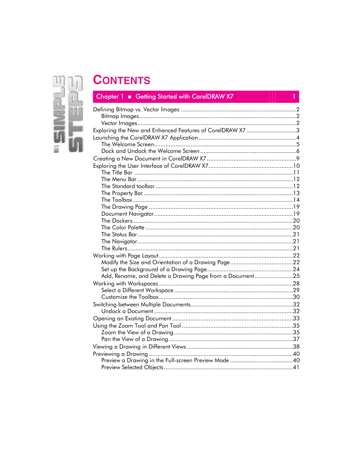## $\mathbb{I}$  $\mathbf{r}^{\prime}$  $\overline{\mathbb{L}}$ F 2

## **CONTENTS**

## Chapter 1 Getting Started with CorelDRAW X7

| Exploring the New and Enhanced Features of CorelDRAW X7 3 |  |
|-----------------------------------------------------------|--|
|                                                           |  |
|                                                           |  |
|                                                           |  |
|                                                           |  |
|                                                           |  |
|                                                           |  |
|                                                           |  |
|                                                           |  |
|                                                           |  |
|                                                           |  |
|                                                           |  |
|                                                           |  |
|                                                           |  |
|                                                           |  |
|                                                           |  |
|                                                           |  |
|                                                           |  |
|                                                           |  |
|                                                           |  |
|                                                           |  |
| Add, Rename, and Delete a Drawing Page from a Document25  |  |
|                                                           |  |
|                                                           |  |
|                                                           |  |
|                                                           |  |
|                                                           |  |
|                                                           |  |
|                                                           |  |
|                                                           |  |
|                                                           |  |
|                                                           |  |
|                                                           |  |
|                                                           |  |
|                                                           |  |

 $\mathbf{1}$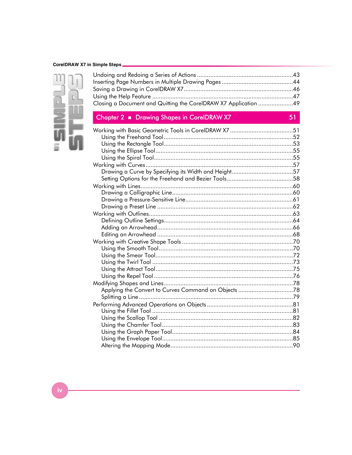#### CorelDRAW X7 in Simple Steps



| Closing a Document and Quitting the CorelDRAW X7 Application 49 |  |
|-----------------------------------------------------------------|--|

## Chapter 2 Drawing Shapes in CorelDRAW X7

51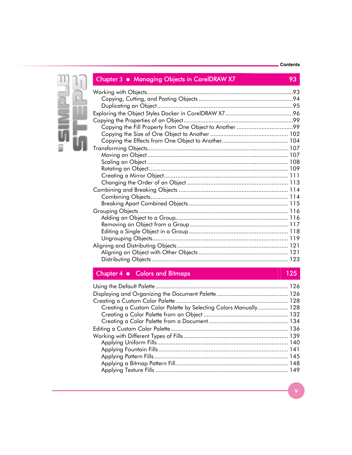#### **Contents**



**Chapter 3 Managing Objects in CorelDRAW X7 93** 

## **Chapter 4 <b>•** Colors and Bitmaps 125

| Creating a Custom Color Palette by Selecting Colors Manually 128 |  |
|------------------------------------------------------------------|--|
|                                                                  |  |
|                                                                  |  |
|                                                                  |  |
|                                                                  |  |
|                                                                  |  |
|                                                                  |  |
|                                                                  |  |
|                                                                  |  |
|                                                                  |  |
|                                                                  |  |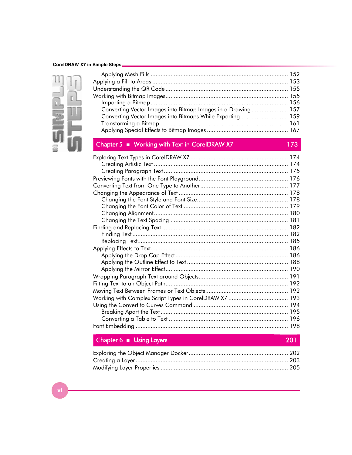#### **CorelDRAW X7 in Simple Steps**



| Converting Vector Images into Bitmap Images in a Drawing  157                                 |     |
|-----------------------------------------------------------------------------------------------|-----|
| Converting Vector Images into Bitmaps While Exporting 159                                     |     |
|                                                                                               |     |
|                                                                                               |     |
|                                                                                               |     |
| Chapter 5 ■ Working with Text in CorelDRAW X7                                                 | 173 |
| Exploring Text Types in CorelDRAW X7 ………………………………………………… 174<br>Creating Artistic Text<br>174 |     |

| Finding Text……………………………………………………………………………… 182 |
|------------------------------------------------|
|                                                |
|                                                |
|                                                |
|                                                |
|                                                |
|                                                |
|                                                |
|                                                |
|                                                |
|                                                |
|                                                |
|                                                |
|                                                |
|                                                |

## **Chapter 6 <b>•** Using Layers **201**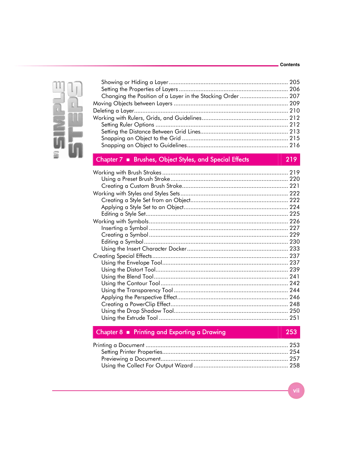#### Contents



| Changing the Position of a Layer in the Stacking Order  207 |  |
|-------------------------------------------------------------|--|
|                                                             |  |
|                                                             |  |
|                                                             |  |
|                                                             |  |
|                                                             |  |
|                                                             |  |
|                                                             |  |
|                                                             |  |

#### Chapter 7 **· Brushes, Object Styles, and Special Effects**

219

#### Chapter 8 • Printing and Exporting a Drawing

253